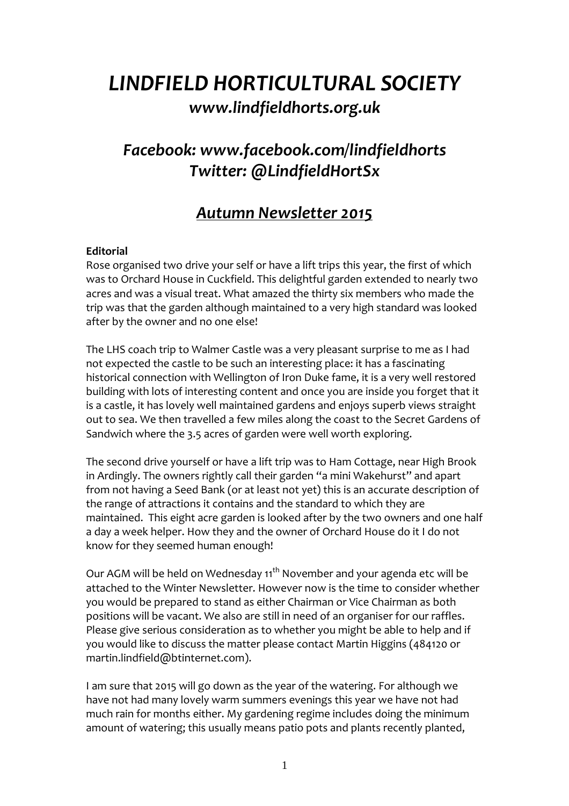# *LINDFIELD HORTICULTURAL SOCIETY www.lindfieldhorts.org.uk*

# *Facebook: www.facebook.com/lindfieldhorts Twitter: @LindfieldHortSx*

# *Autumn Newsletter 2015*

# **Editorial**

Rose organised two drive your self or have a lift trips this year, the first of which was to Orchard House in Cuckfield. This delightful garden extended to nearly two acres and was a visual treat. What amazed the thirty six members who made the trip was that the garden although maintained to a very high standard was looked after by the owner and no one else!

The LHS coach trip to Walmer Castle was a very pleasant surprise to me as I had not expected the castle to be such an interesting place: it has a fascinating historical connection with Wellington of Iron Duke fame, it is a very well restored building with lots of interesting content and once you are inside you forget that it is a castle, it has lovely well maintained gardens and enjoys superb views straight out to sea. We then travelled a few miles along the coast to the Secret Gardens of Sandwich where the 3.5 acres of garden were well worth exploring.

The second drive yourself or have a lift trip was to Ham Cottage, near High Brook in Ardingly. The owners rightly call their garden "a mini Wakehurst" and apart from not having a Seed Bank (or at least not yet) this is an accurate description of the range of attractions it contains and the standard to which they are maintained. This eight acre garden is looked after by the two owners and one half a day a week helper. How they and the owner of Orchard House do it I do not know for they seemed human enough!

Our AGM will be held on Wednesday 11<sup>th</sup> November and your agenda etc will be attached to the Winter Newsletter. However now is the time to consider whether you would be prepared to stand as either Chairman or Vice Chairman as both positions will be vacant. We also are still in need of an organiser for our raffles. Please give serious consideration as to whether you might be able to help and if you would like to discuss the matter please contact Martin Higgins (484120 or martin.lindfield@btinternet.com).

I am sure that 2015 will go down as the year of the watering. For although we have not had many lovely warm summers evenings this year we have not had much rain for months either. My gardening regime includes doing the minimum amount of watering; this usually means patio pots and plants recently planted,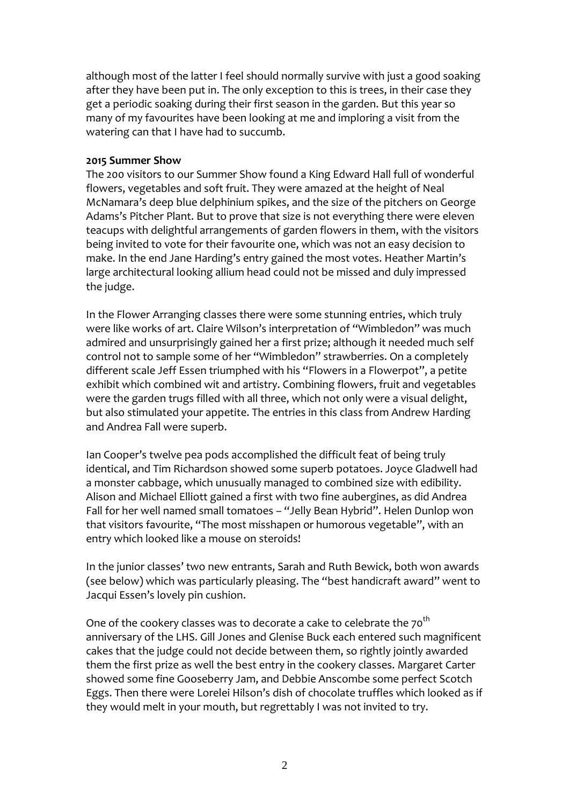although most of the latter I feel should normally survive with just a good soaking after they have been put in. The only exception to this is trees, in their case they get a periodic soaking during their first season in the garden. But this year so many of my favourites have been looking at me and imploring a visit from the watering can that I have had to succumb.

#### **2015 Summer Show**

The 200 visitors to our Summer Show found a King Edward Hall full of wonderful flowers, vegetables and soft fruit. They were amazed at the height of Neal McNamara's deep blue delphinium spikes, and the size of the pitchers on George Adams's Pitcher Plant. But to prove that size is not everything there were eleven teacups with delightful arrangements of garden flowers in them, with the visitors being invited to vote for their favourite one, which was not an easy decision to make. In the end Jane Harding's entry gained the most votes. Heather Martin's large architectural looking allium head could not be missed and duly impressed the judge.

In the Flower Arranging classes there were some stunning entries, which truly were like works of art. Claire Wilson's interpretation of "Wimbledon" was much admired and unsurprisingly gained her a first prize; although it needed much self control not to sample some of her "Wimbledon" strawberries. On a completely different scale Jeff Essen triumphed with his "Flowers in a Flowerpot", a petite exhibit which combined wit and artistry. Combining flowers, fruit and vegetables were the garden trugs filled with all three, which not only were a visual delight, but also stimulated your appetite. The entries in this class from Andrew Harding and Andrea Fall were superb.

Ian Cooper's twelve pea pods accomplished the difficult feat of being truly identical, and Tim Richardson showed some superb potatoes. Joyce Gladwell had a monster cabbage, which unusually managed to combined size with edibility. Alison and Michael Elliott gained a first with two fine aubergines, as did Andrea Fall for her well named small tomatoes – "Jelly Bean Hybrid". Helen Dunlop won that visitors favourite, "The most misshapen or humorous vegetable", with an entry which looked like a mouse on steroids!

In the junior classes' two new entrants, Sarah and Ruth Bewick, both won awards (see below) which was particularly pleasing. The "best handicraft award" went to Jacqui Essen's lovely pin cushion.

One of the cookery classes was to decorate a cake to celebrate the 70<sup>th</sup> anniversary of the LHS. Gill Jones and Glenise Buck each entered such magnificent cakes that the judge could not decide between them, so rightly jointly awarded them the first prize as well the best entry in the cookery classes. Margaret Carter showed some fine Gooseberry Jam, and Debbie Anscombe some perfect Scotch Eggs. Then there were Lorelei Hilson's dish of chocolate truffles which looked as if they would melt in your mouth, but regrettably I was not invited to try.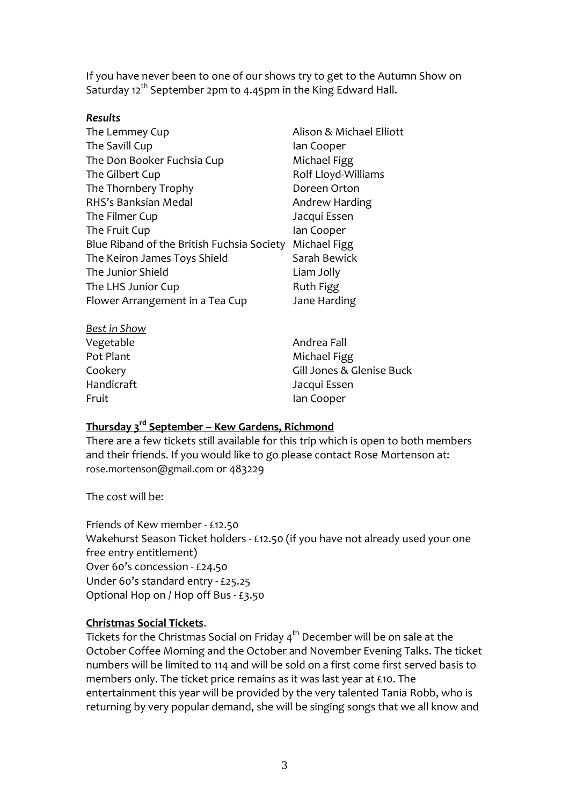If you have never been to one of our shows try to get to the Autumn Show on Saturday  $12^{th}$  September 2pm to 4.45pm in the King Edward Hall.

#### *Results*

| The Lemmey Cup<br>The Savill Cup           | Alison & Michael Elliott<br>lan Cooper |
|--------------------------------------------|----------------------------------------|
| The Don Booker Fuchsia Cup                 | Michael Figg                           |
| The Gilbert Cup                            | Rolf Lloyd-Williams                    |
| The Thornbery Trophy                       | Doreen Orton                           |
| RHS's Banksian Medal                       | Andrew Harding                         |
| The Filmer Cup                             | Jacqui Essen                           |
| The Fruit Cup                              | lan Cooper                             |
| Blue Riband of the British Fuchsia Society | Michael Figg                           |
| The Keiron James Toys Shield               | Sarah Bewick                           |
| The Junior Shield                          | Liam Jolly                             |
| The LHS Junior Cup                         | <b>Ruth Figg</b>                       |
| Flower Arrangement in a Tea Cup            | Jane Harding                           |

| <b>Best in Show</b> |                           |
|---------------------|---------------------------|
| Vegetable           | Andrea Fall               |
| Pot Plant           | Michael Figg              |
| Cookery             | Gill Jones & Glenise Buck |
| Handicraft          | Jacqui Essen              |
| Fruit               | lan Cooper                |

# **Thursday 3rd September – Kew Gardens, Richmond**

There are a few tickets still available for this trip which is open to both members and their friends. If you would like to go please contact Rose Mortenson at: rose.mortenson@gmail.com or 483229

The cost will be:

Friends of Kew member - £12.50 Wakehurst Season Ticket holders - £12.50 (if you have not already used your one free entry entitlement) Over 60's concession - £24.50 Under 60's standard entry - £25.25 Optional Hop on / Hop off Bus - £3.50

#### **Christmas Social Tickets**.

Tickets for the Christmas Social on Friday  $4<sup>th</sup>$  December will be on sale at the October Coffee Morning and the October and November Evening Talks. The ticket numbers will be limited to 114 and will be sold on a first come first served basis to members only. The ticket price remains as it was last year at £10. The entertainment this year will be provided by the very talented Tania Robb, who is returning by very popular demand, she will be singing songs that we all know and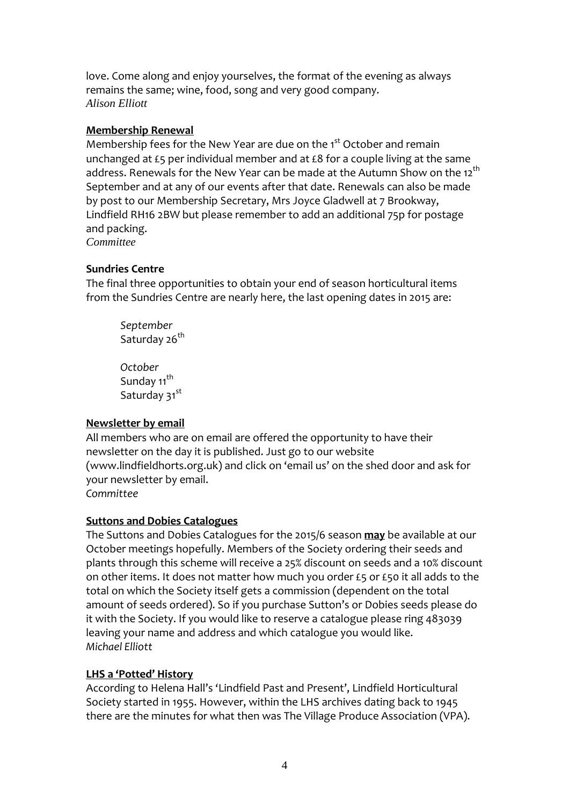love. Come along and enjoy yourselves, the format of the evening as always remains the same; wine, food, song and very good company. *Alison Elliott* 

### **Membership Renewal**

Membership fees for the New Year are due on the 1<sup>st</sup> October and remain unchanged at £5 per individual member and at £8 for a couple living at the same address. Renewals for the New Year can be made at the Autumn Show on the 12<sup>th</sup> September and at any of our events after that date. Renewals can also be made by post to our Membership Secretary, Mrs Joyce Gladwell at 7 Brookway, Lindfield RH16 2BW but please remember to add an additional 75p for postage and packing.

*Committee* 

### **Sundries Centre**

The final three opportunities to obtain your end of season horticultural items from the Sundries Centre are nearly here, the last opening dates in 2015 are:

*September*  Saturday 26<sup>th</sup>

*October*  Sunday 11<sup>th</sup> Saturday 31st

# **Newsletter by email**

All members who are on email are offered the opportunity to have their newsletter on the day it is published. Just go to our website (www.lindfieldhorts.org.uk) and click on 'email us' on the shed door and ask for your newsletter by email. *Committee*

#### **Suttons and Dobies Catalogues**

The Suttons and Dobies Catalogues for the 2015/6 season **may** be available at our October meetings hopefully. Members of the Society ordering their seeds and plants through this scheme will receive a 25% discount on seeds and a 10% discount on other items. It does not matter how much you order £5 or £50 it all adds to the total on which the Society itself gets a commission (dependent on the total amount of seeds ordered). So if you purchase Sutton's or Dobies seeds please do it with the Society. If you would like to reserve a catalogue please ring 483039 leaving your name and address and which catalogue you would like. *Michael Elliott* 

# **LHS a 'Potted' History**

According to Helena Hall's 'Lindfield Past and Present', Lindfield Horticultural Society started in 1955. However, within the LHS archives dating back to 1945 there are the minutes for what then was The Village Produce Association (VPA).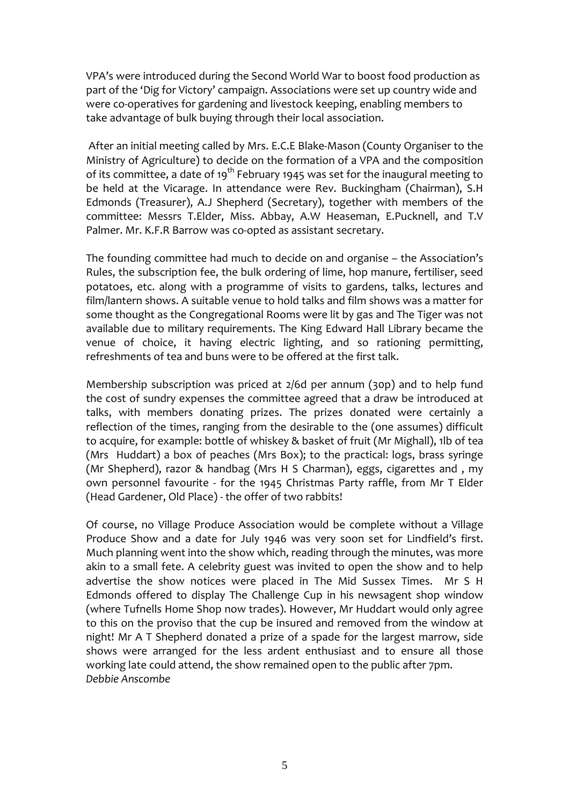VPA's were introduced during the Second World War to boost food production as part of the 'Dig for Victory' campaign. Associations were set up country wide and were co-operatives for gardening and livestock keeping, enabling members to take advantage of bulk buying through their local association.

 After an initial meeting called by Mrs. E.C.E Blake-Mason (County Organiser to the Ministry of Agriculture) to decide on the formation of a VPA and the composition of its committee, a date of 19<sup>th</sup> February 1945 was set for the inaugural meeting to be held at the Vicarage. In attendance were Rev. Buckingham (Chairman), S.H Edmonds (Treasurer), A.J Shepherd (Secretary), together with members of the committee: Messrs T.Elder, Miss. Abbay, A.W Heaseman, E.Pucknell, and T.V Palmer. Mr. K.F.R Barrow was co-opted as assistant secretary.

The founding committee had much to decide on and organise – the Association's Rules, the subscription fee, the bulk ordering of lime, hop manure, fertiliser, seed potatoes, etc. along with a programme of visits to gardens, talks, lectures and film/lantern shows. A suitable venue to hold talks and film shows was a matter for some thought as the Congregational Rooms were lit by gas and The Tiger was not available due to military requirements. The King Edward Hall Library became the venue of choice, it having electric lighting, and so rationing permitting, refreshments of tea and buns were to be offered at the first talk.

Membership subscription was priced at 2/6d per annum (30p) and to help fund the cost of sundry expenses the committee agreed that a draw be introduced at talks, with members donating prizes. The prizes donated were certainly a reflection of the times, ranging from the desirable to the (one assumes) difficult to acquire, for example: bottle of whiskey & basket of fruit (Mr Mighall), 1lb of tea (Mrs Huddart) a box of peaches (Mrs Box); to the practical: logs, brass syringe (Mr Shepherd), razor & handbag (Mrs H S Charman), eggs, cigarettes and , my own personnel favourite - for the 1945 Christmas Party raffle, from Mr T Elder (Head Gardener, Old Place) - the offer of two rabbits!

Of course, no Village Produce Association would be complete without a Village Produce Show and a date for July 1946 was very soon set for Lindfield's first. Much planning went into the show which, reading through the minutes, was more akin to a small fete. A celebrity guest was invited to open the show and to help advertise the show notices were placed in The Mid Sussex Times. Mr S H Edmonds offered to display The Challenge Cup in his newsagent shop window (where Tufnells Home Shop now trades). However, Mr Huddart would only agree to this on the proviso that the cup be insured and removed from the window at night! Mr A T Shepherd donated a prize of a spade for the largest marrow, side shows were arranged for the less ardent enthusiast and to ensure all those working late could attend, the show remained open to the public after 7pm. *Debbie Anscombe*